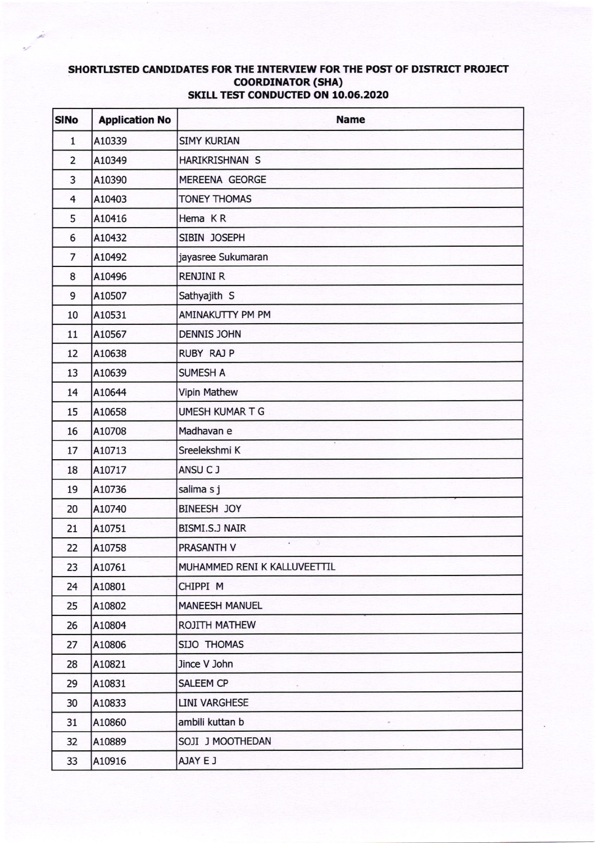## SHORTLISTED CANDIDATES FOR THE INTERVIEW FOR THE POST OF DISTRICT PROJECT **COORDINATOR (SHA) SKILL TEST CONDUCTED ON 10.06.2020**

| <b>SINo</b>    | <b>Application No</b> | <b>Name</b>                  |
|----------------|-----------------------|------------------------------|
| $\mathbf{1}$   | A10339                | <b>SIMY KURIAN</b>           |
| $\overline{2}$ | A10349                | HARIKRISHNAN S               |
| 3              | A10390                | MEREENA GEORGE               |
| $\overline{4}$ | A10403                | <b>TONEY THOMAS</b>          |
| 5              | A10416                | Hema KR                      |
| 6              | A10432                | SIBIN JOSEPH                 |
| $\overline{7}$ | A10492                | jayasree Sukumaran           |
| 8              | A10496                | <b>RENJINI R</b>             |
| 9              | A10507                | Sathyajith S                 |
| 10             | A10531                | AMINAKUTTY PM PM             |
| 11             | A10567                | <b>DENNIS JOHN</b>           |
| 12             | A10638                | <b>RUBY RAJ P</b>            |
| 13             | A10639                | <b>SUMESH A</b>              |
| 14             | A10644                | <b>Vipin Mathew</b>          |
| 15             | A10658                | UMESH KUMAR T G              |
| 16             | A10708                | Madhavan e                   |
| 17             | A10713                | Sreelekshmi K                |
| 18             | A10717                | ANSU CJ                      |
| 19             | A10736                | salima s j                   |
| 20             | A10740                | BINEESH JOY                  |
| 21             | A10751                | BISMI.S.J NAIR               |
| 22             | A10758                | Õ.<br>PRASANTH V             |
| 23             | A10761                | MUHAMMED RENI K KALLUVEETTIL |
| 24             | A10801                | CHIPPI M                     |
| 25             | A10802                | <b>MANEESH MANUEL</b>        |
| 26             | A10804                | ROJITH MATHEW                |
| 27             | A10806                | SIJO THOMAS                  |
| 28             | A10821                | Jince V John                 |
| 29             | A10831                | SALEEM CP                    |
| 30             | A10833                | <b>LINI VARGHESE</b>         |
| 31             | A10860                | ambili kuttan b              |
| 32             | A10889                | SOJI J MOOTHEDAN             |
| 33             | A10916                | AJAY E J                     |